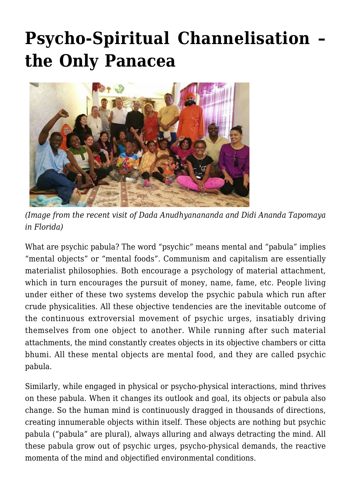## **[Psycho-Spiritual Channelisation –](https://crimsondawn.net/portfolio/psycho-spiritual-channelisation-the-only-panacea/) [the Only Panacea](https://crimsondawn.net/portfolio/psycho-spiritual-channelisation-the-only-panacea/)**



*(Image from the recent visit of Dada Anudhyanananda and Didi Ananda Tapomaya in Florida)*

What are psychic pabula? The word "psychic" means mental and "pabula" implies "mental objects" or "mental foods". Communism and capitalism are essentially materialist philosophies. Both encourage a psychology of material attachment, which in turn encourages the pursuit of money, name, fame, etc. People living under either of these two systems develop the psychic pabula which run after crude physicalities. All these objective tendencies are the inevitable outcome of the continuous extroversial movement of psychic urges, insatiably driving themselves from one object to another. While running after such material attachments, the mind constantly creates objects in its objective chambers or citta bhumi. All these mental objects are mental food, and they are called psychic pabula.

Similarly, while engaged in physical or psycho-physical interactions, mind thrives on these pabula. When it changes its outlook and goal, its objects or pabula also change. So the human mind is continuously dragged in thousands of directions, creating innumerable objects within itself. These objects are nothing but psychic pabula ("pabula" are plural), always alluring and always detracting the mind. All these pabula grow out of psychic urges, psycho-physical demands, the reactive momenta of the mind and objectified environmental conditions.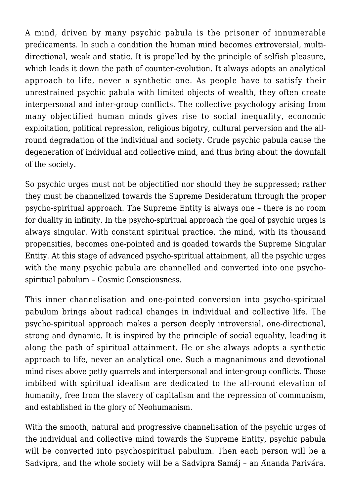A mind, driven by many psychic pabula is the prisoner of innumerable predicaments. In such a condition the human mind becomes extroversial, multidirectional, weak and static. It is propelled by the principle of selfish pleasure, which leads it down the path of counter-evolution. It always adopts an analytical approach to life, never a synthetic one. As people have to satisfy their unrestrained psychic pabula with limited objects of wealth, they often create interpersonal and inter-group conflicts. The collective psychology arising from many objectified human minds gives rise to social inequality, economic exploitation, political repression, religious bigotry, cultural perversion and the allround degradation of the individual and society. Crude psychic pabula cause the degeneration of individual and collective mind, and thus bring about the downfall of the society.

So psychic urges must not be objectified nor should they be suppressed; rather they must be channelized towards the Supreme Desideratum through the proper psycho-spiritual approach. The Supreme Entity is always one – there is no room for duality in infinity. In the psycho-spiritual approach the goal of psychic urges is always singular. With constant spiritual practice, the mind, with its thousand propensities, becomes one-pointed and is goaded towards the Supreme Singular Entity. At this stage of advanced psycho-spiritual attainment, all the psychic urges with the many psychic pabula are channelled and converted into one psychospiritual pabulum – Cosmic Consciousness.

This inner channelisation and one-pointed conversion into psycho-spiritual pabulum brings about radical changes in individual and collective life. The psycho-spiritual approach makes a person deeply introversial, one-directional, strong and dynamic. It is inspired by the principle of social equality, leading it along the path of spiritual attainment. He or she always adopts a synthetic approach to life, never an analytical one. Such a magnanimous and devotional mind rises above petty quarrels and interpersonal and inter-group conflicts. Those imbibed with spiritual idealism are dedicated to the all-round elevation of humanity, free from the slavery of capitalism and the repression of communism, and established in the glory of Neohumanism.

With the smooth, natural and progressive channelisation of the psychic urges of the individual and collective mind towards the Supreme Entity, psychic pabula will be converted into psychospiritual pabulum. Then each person will be a Sadvipra, and the whole society will be a Sadvipra Samáj – an Ánanda Parivára.